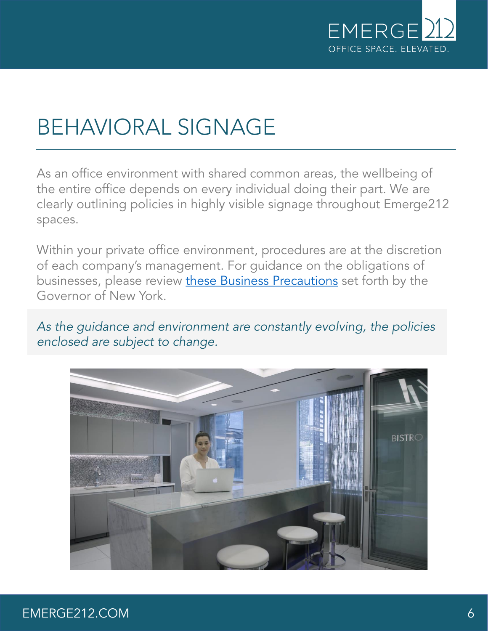

### BEHAVIORAL SIGNAGE

As an office environment with shared common areas, the wellbeing of the entire office depends on every individual doing their part. We are clearly outlining policies in highly visible signage throughout Emerge212 spaces.

Within your private office environment, procedures are at the discretion of each company's management. For guidance on the obligations of businesses, please review [these Business Precautions](https://www.governor.ny.gov/new-york-forward/regional-guidelines-re-opening-new-york#business-precautions) set forth by the Governor of New York.

*As the guidance and environment are constantly evolving, the policies enclosed are subject to change.* 

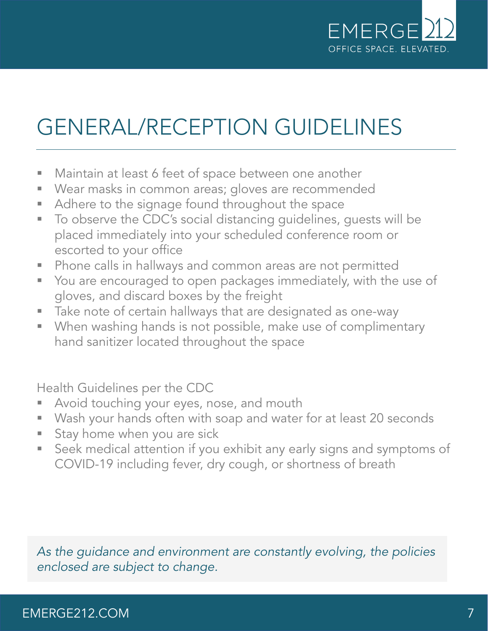

## GENERAL/RECEPTION GUIDELINES

- Maintain at least 6 feet of space between one another
- Wear masks in common areas; gloves are recommended
- Adhere to the signage found throughout the space
- To observe the CDC's social distancing guidelines, guests will be placed immediately into your scheduled conference room or escorted to your office
- Phone calls in hallways and common areas are not permitted
- You are encouraged to open packages immediately, with the use of gloves, and discard boxes by the freight
- Take note of certain hallways that are designated as one-way
- **When washing hands is not possible, make use of complimentary** hand sanitizer located throughout the space

Health Guidelines per the CDC

- Avoid touching your eyes, nose, and mouth
- Wash your hands often with soap and water for at least 20 seconds
- Stay home when you are sick
- **EX** Seek medical attention if you exhibit any early signs and symptoms of COVID-19 including fever, dry cough, or shortness of breath

*As the guidance and environment are constantly evolving, the policies enclosed are subject to change.* 

### EMERGE212.COM 7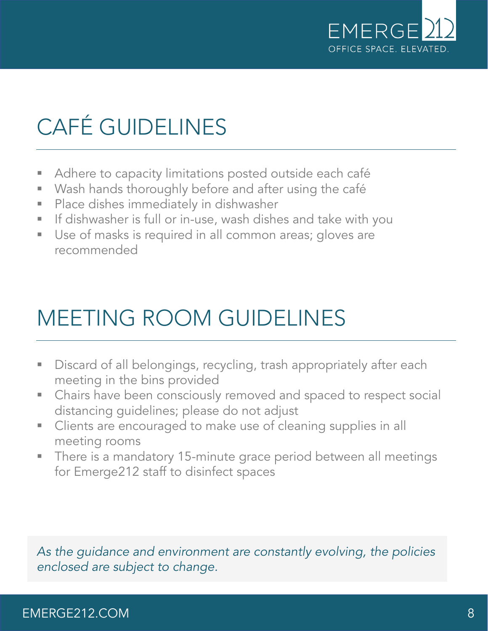

# CAFÉ GUIDELINES

- Adhere to capacity limitations posted outside each café
- Wash hands thoroughly before and after using the café
- **Place dishes immediately in dishwasher**
- **E** If dishwasher is full or in-use, wash dishes and take with you
- Use of masks is required in all common areas; gloves are recommended

### MEETING ROOM GUIDELINES

- **EXP** Discard of all belongings, recycling, trash appropriately after each meeting in the bins provided
- Chairs have been consciously removed and spaced to respect social distancing guidelines; please do not adjust
- Clients are encouraged to make use of cleaning supplies in all meeting rooms
- **There is a mandatory 15-minute grace period between all meetings** for Emerge212 staff to disinfect spaces

*As the guidance and environment are constantly evolving, the policies enclosed are subject to change.* 

#### EMERGE212.COM 8